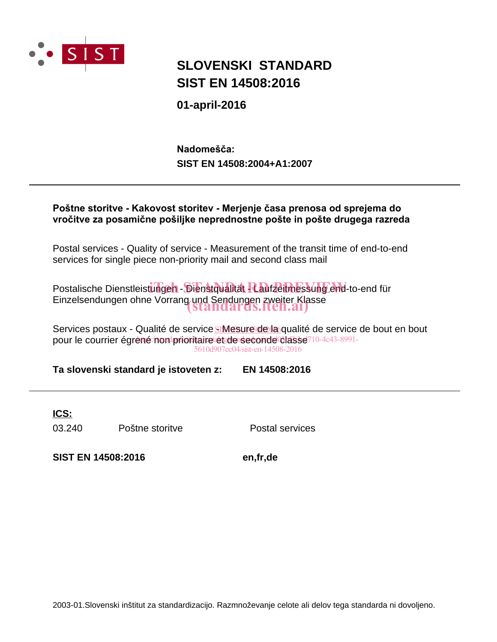

# **SIST EN 14508:2016 SLOVENSKI STANDARD**

**01-april-2016**

**SIST EN 14508:2004+A1:2007** Nadomešča:

## Poštne storitve - Kakovost storitev - Merjenje časa prenosa od sprejema do vročitve za posamične pošiljke neprednostne pošte in pošte drugega razreda

Postal services - Quality of service - Measurement of the transit time of end-to-end services for single piece non-priority mail and second class mail

Postalische Dienstleistungen - Dienstqualität Raufzeitmessung end-to-end für Einzelsendungen ohne Vorrang und Sendungen zweiter Klasse (standards.iteh.ai)

Services postaux - Qualité de service si Mesure de la qualité de service de bout en bout pour le courrier égrené hon prioritaire ét de seconde classe 710-4c43-8991-5610d907ec04/sist-en-14508-2016

**Ta slovenski standard je istoveten z: EN 14508:2016**

**ICS:**

03.240 Poštne storitve Postal services

**SIST EN 14508:2016 en,fr,de**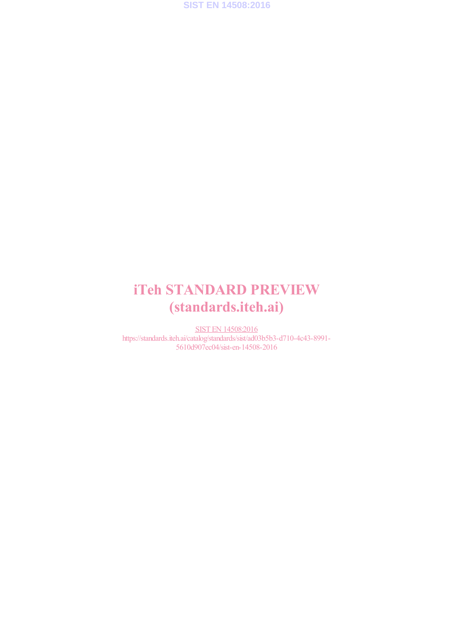

# iTeh STANDARD PREVIEW (standards.iteh.ai)

SIST EN 14508:2016 https://standards.iteh.ai/catalog/standards/sist/ad03b5b3-d710-4c43-8991- 5610d907ec04/sist-en-14508-2016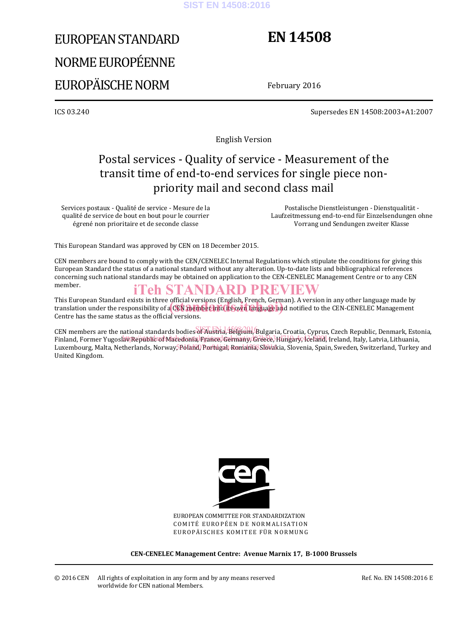#### **SIST EN 14508:2016**

# EUROPEAN STANDARD NORME EUROPÉENNE EUROPÄISCHE NORM

# **EN 14508**

February 2016

ICS 03.240 Supersedes EN 14508:2003+A1:2007

English Version

# Postal services - Quality of service - Measurement of the transit time of end-to-end services for single piece nonpriority mail and second class mail

Services postaux - Qualité de service - Mesure de la qualité de service de bout en bout pour le courrier égrené non prioritaire et de seconde classe

 Postalische Dienstleistungen - Dienstqualität - Laufzeitmessung end-to-end für Einzelsendungen ohne Vorrang und Sendungen zweiter Klasse

This European Standard was approved by CEN on 18 December 2015.

CEN members are bound to comply with the CEN/CENELEC Internal Regulations which stipulate the conditions for giving this European Standard the status of a national standard without any alteration. Up-to-date lists and bibliographical references concerning such national standards may be obtained on application to the CEN-CENELEC Management Centre or to any CEN member.

# iTeh STANDARD PREVIEW

This European Standard exists in three official versions (English, French, German). A version in any other language made by This European Standard exists in three official versions (English, French, German). A version in any other language made by<br>translation under the responsibility of a CEN member into its own language and notified to the CEN Centre has the same status as the official versions.

CEN members are the national standards bodies of Austria, Belgium, Bulgaria, Croatia, Cyprus, Czech Republic, Denmark, Estonia, Finland, Former Yugoslav Republic of Macedonia, France, Germany, Greece, Hungary, Iceland, Ireland, Italy, Latvia, Lithuania, Luxembourg, Malta, Netherlands, Norway, Poland) Rortugal, Romania, Slovakia, Slovenia, Spain, Sweden, Switzerland, Turkey and United Kingdom.



EUROPEAN COMMITTEE FOR STANDARDIZATION COMITÉ EUROPÉEN DE NORMALISATION EUROPÄISCHES KOMITEE FÜR NORMUNG

**CEN-CENELEC Management Centre: Avenue Marnix 17, B-1000 Brussels**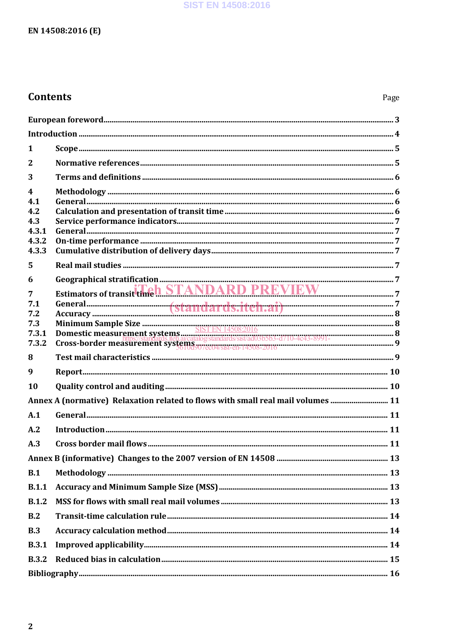# **Contents**

| 1                                                                                |                                                 |  |
|----------------------------------------------------------------------------------|-------------------------------------------------|--|
| $\mathbf{2}$                                                                     |                                                 |  |
| 3                                                                                |                                                 |  |
| $\overline{\mathbf{4}}$<br>4.1<br>4.2<br>4.3<br>4.3.1<br>4.3.2<br>4.3.3          |                                                 |  |
| 5                                                                                |                                                 |  |
| 6<br>$\overline{7}$<br>7.1<br>7.2<br>7.3<br>7.3.1<br>7.3.2                       | Estimators of transit time h STANDARD PREVIEW 7 |  |
| 8                                                                                |                                                 |  |
| 9                                                                                |                                                 |  |
| 10                                                                               |                                                 |  |
| Annex A (normative) Relaxation related to flows with small real mail volumes  11 |                                                 |  |
| A.1                                                                              |                                                 |  |
| A.2                                                                              |                                                 |  |
| A.3                                                                              |                                                 |  |
|                                                                                  |                                                 |  |
| B.1                                                                              |                                                 |  |
| B.1.1                                                                            |                                                 |  |
| B.1.2                                                                            |                                                 |  |
| B.2                                                                              |                                                 |  |
| B.3                                                                              |                                                 |  |
| <b>B.3.1</b>                                                                     |                                                 |  |
| <b>B.3.2</b>                                                                     |                                                 |  |
| ${\bf Bibliography.}.\hspace*{20pt}$                                             |                                                 |  |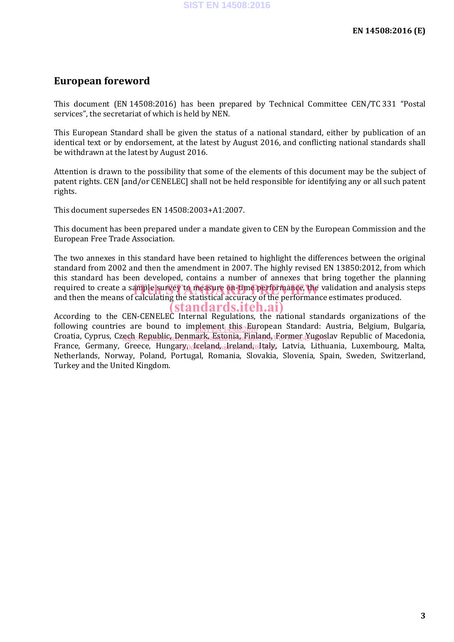# **European foreword**

This document (EN 14508:2016) has been prepared by Technical Committee CEN/TC 331 "Postal services", the secretariat of which is held by NEN.

This European Standard shall be given the status of a national standard, either by publication of an identical text or by endorsement, at the latest by August 2016, and conflicting national standards shall be withdrawn at the latest by August 2016.

Attention is drawn to the possibility that some of the elements of this document may be the subject of patent rights. CEN [and/or CENELEC] shall not be held responsible for identifying any or all such patent rights.

This document supersedes EN 14508:2003+A1:2007.

This document has been prepared under a mandate given to CEN by the European Commission and the European Free Trade Association.

The two annexes in this standard have been retained to highlight the differences between the original standard from 2002 and then the amendment in 2007. The highly revised EN 13850:2012, from which this standard has been developed, contains a number of annexes that bring together the planning required to create a sample survey to measure on-time performance, the validation and analysis steps and then the means of calculating the statistical accuracy of the performance estimates produced and then the means of calculating the statistical accuracy of the performance estimates produced.

(standards.iteh.ai)

According to the CEN-CENELEC Internal Regulations, the national standards organizations of the following countries are bound to implement this European Standard: Austria, Belgium, Bulgaria, Croatia, Cyprus, Częch Republic, Denmark, Estonia, Finland, Former Yugoslav Republic of Macedonia, France, Germany, Greece, Hungary<sub>Od</sub>lceland<sub>sis</sub>treland<sub>O8</sub>Italy, Latvia, Lithuania, Luxembourg, Malta, Netherlands, Norway, Poland, Portugal, Romania, Slovakia, Slovenia, Spain, Sweden, Switzerland, Turkey and the United Kingdom.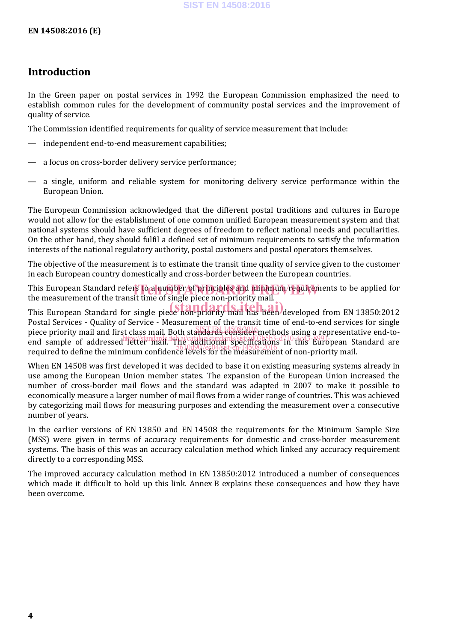# **Introduction**

In the Green paper on postal services in 1992 the European Commission emphasized the need to establish common rules for the development of community postal services and the improvement of quality of service.

The Commission identified requirements for quality of service measurement that include:

- independent end-to-end measurement capabilities;
- a focus on cross-border delivery service performance;
- a single, uniform and reliable system for monitoring delivery service performance within the European Union.

The European Commission acknowledged that the different postal traditions and cultures in Europe would not allow for the establishment of one common unified European measurement system and that national systems should have sufficient degrees of freedom to reflect national needs and peculiarities. On the other hand, they should fulfil a defined set of minimum requirements to satisfy the information interests of the national regulatory authority, postal customers and postal operators themselves.

The objective of the measurement is to estimate the transit time quality of service given to the customer in each European country domestically and cross-border between the European countries.

This European Standard refers to a number of principles and minimum requirements to be applied for<br>the measurement of the transit time of single piece non-priority mail the measurement of the transit time of single piece non-priority mail.

This European Standard for single piece non-priority mail.<br>This European Standard for single piece non-priority mail has been developed from EN 13850:2012 Postal Services - Quality of Service - Measurement of the transit time of end-to-end services for single piece priority mail and first class mail. Both standards consider methods using a representative end-toend sample of addressed letter mail. The additional specifications in this European Standard are end sample of addressed letter mail. The additional specifications in this European Standard are required to define the minimum confidence levels for the measurement of non-priority mail. 5610d907ec04/sist-en-14508-2016

When EN 14508 was first developed it was decided to base it on existing measuring systems already in use among the European Union member states. The expansion of the European Union increased the number of cross-border mail flows and the standard was adapted in 2007 to make it possible to economically measure a larger number of mail flows from a wider range of countries. This was achieved by categorizing mail flows for measuring purposes and extending the measurement over a consecutive number of years.

In the earlier versions of EN 13850 and EN 14508 the requirements for the Minimum Sample Size (MSS) were given in terms of accuracy requirements for domestic and cross-border measurement systems. The basis of this was an accuracy calculation method which linked any accuracy requirement directly to a corresponding MSS.

The improved accuracy calculation method in EN 13850:2012 introduced a number of consequences which made it difficult to hold up this link. Annex B explains these consequences and how they have been overcome.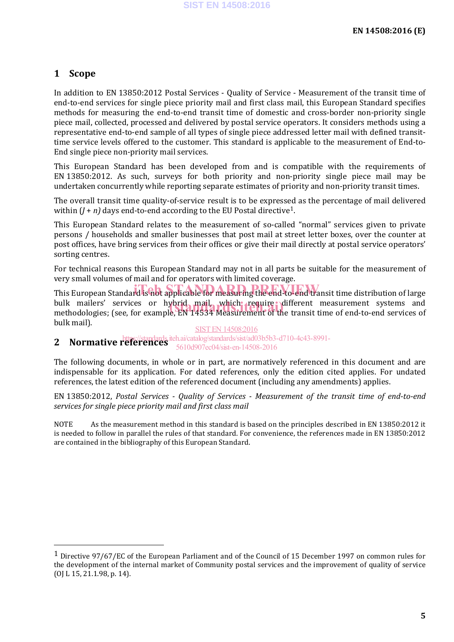### **1 Scope**

I

In addition to EN 13850:2012 Postal Services - Quality of Service - Measurement of the transit time of end-to-end services for single piece priority mail and first class mail, this European Standard specifies methods for measuring the end-to-end transit time of domestic and cross-border non-priority single piece mail, collected, processed and delivered by postal service operators. It considers methods using a representative end-to-end sample of all types of single piece addressed letter mail with defined transittime service levels offered to the customer. This standard is applicable to the measurement of End-to-End single piece non-priority mail services.

This European Standard has been developed from and is compatible with the requirements of EN 13850:2012. As such, surveys for both priority and non-priority single piece mail may be undertaken concurrently while reporting separate estimates of priority and non-priority transit times.

The overall transit time quality-of-service result is to be expressed as the percentage of mail delivered within  $(I + n)$  days end-to-end according to the EU Postal directive<sup>1</sup>.

This European Standard relates to the measurement of so-called "normal" services given to private persons / households and smaller businesses that post mail at street letter boxes, over the counter at post offices, have bring services from their offices or give their mail directly at postal service operators' sorting centres.

For technical reasons this European Standard may not in all parts be suitable for the measurement of very small volumes of mail and for operators with limited coverage.

This European Standard is not applicable for measuring the end-to-end transit time distribution of large bulk mailers' services or hybrid mail, which require different measurement systems and<br>methodologies: (see for example EN 14534 Measurement of the transit time of end-to-end services of methodologies; (see, for example, EN 14534 Measurement of the transit time of end-to-end services of bulk mail).

#### **2 Normative references** 56104907ac04/sittle 14508 2016 SIST EN 14508:2016 5610d907ec04/sist-en-14508-2016

The following documents, in whole or in part, are normatively referenced in this document and are indispensable for its application. For dated references, only the edition cited applies. For undated references, the latest edition of the referenced document (including any amendments) applies.

EN 13850:2012, *Postal Services - Quality of Services - Measurement of the transit time of end-to-end services for single piece priority mail and first class mail*

NOTE As the measurement method in this standard is based on the principles described in EN 13850:2012 it is needed to follow in parallel the rules of that standard. For convenience, the references made in EN 13850:2012 are contained in the bibliography of this European Standard.

<sup>1</sup> Directive 97/67/EC of the European Parliament and of the Council of 15 December 1997 on common rules for the development of the internal market of Community postal services and the improvement of quality of service (OJ L 15, 21.1.98, p. 14).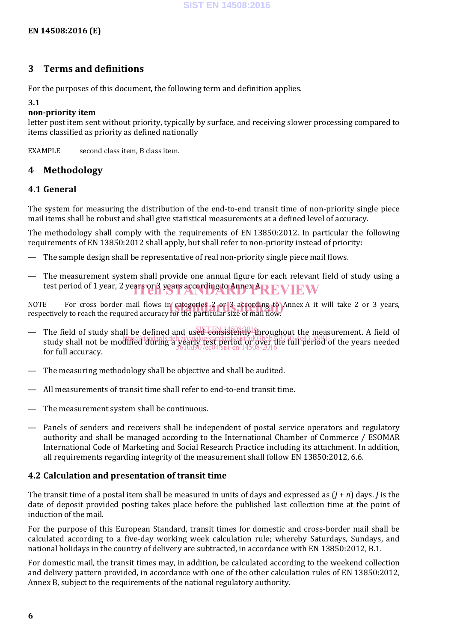# **3 Terms and definitions**

For the purposes of this document, the following term and definition applies.

#### **3.1**

#### **non-priority item**

letter post item sent without priority, typically by surface, and receiving slower processing compared to items classified as priority as defined nationally

EXAMPLE second class item, B class item.

### **4 Methodology**

#### **4.1 General**

The system for measuring the distribution of the end-to-end transit time of non-priority single piece mail items shall be robust and shall give statistical measurements at a defined level of accuracy.

The methodology shall comply with the requirements of EN 13850:2012. In particular the following requirements of EN 13850:2012 shall apply, but shall refer to non-priority instead of priority:

- The sample design shall be representative of real non-priority single piece mail flows.
- The measurement system shall provide one annual figure for each relevant field of study using a test period of 1 year, 2 years or 3 years according to Annex AREVIEW

NOTE For cross border mail flows in categories 2 or 3 according to Annex A it will take 2 or 3 years, respectively to reach the required accuracy for the particular size of mail flow. respectively to reach the required accuracy for the particular size of mail flow.

- The field of study shall be defined and used  $\frac{1}{2}$   $\frac{1}{2}$  for  $\frac{1}{2}$  for  $\frac{1}{2}$  and  $\frac{1}{2}$  and  $\frac{1}{2}$  and  $\frac{1}{2}$  and  $\frac{1}{2}$  and  $\frac{1}{2}$  and  $\frac{1}{2}$  and  $\frac{1}{2}$  and  $\frac{1}{2}$  and  $\frac{1}{2}$  study shall not be modified during a yearly test period or over the full period of the years needed for full accuracy. 5610d907ec04/sist-en-14508-2016
- The measuring methodology shall be objective and shall be audited.
- All measurements of transit time shall refer to end-to-end transit time.
- The measurement system shall be continuous.
- Panels of senders and receivers shall be independent of postal service operators and regulatory authority and shall be managed according to the International Chamber of Commerce / ESOMAR International Code of Marketing and Social Research Practice including its attachment. In addition, all requirements regarding integrity of the measurement shall follow EN 13850:2012, 6.6.

#### **4.2 Calculation and presentation of transit time**

The transit time of a postal item shall be measured in units of days and expressed as (*J* + *n*) days. *J* is the date of deposit provided posting takes place before the published last collection time at the point of induction of the mail.

For the purpose of this European Standard, transit times for domestic and cross-border mail shall be calculated according to a five-day working week calculation rule; whereby Saturdays, Sundays, and national holidays in the country of delivery are subtracted, in accordance with EN 13850:2012, B.1.

For domestic mail, the transit times may, in addition, be calculated according to the weekend collection and delivery pattern provided, in accordance with one of the other calculation rules of EN 13850:2012, Annex B, subject to the requirements of the national regulatory authority.